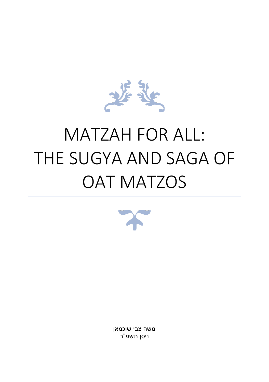משה צבי שוכמאן ניסן תשפ"ב



# MATZAH FOR ALL: THE SUGYA AND SAGA OF OAT MATZOS

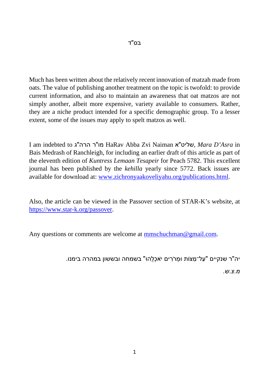Much has been written about the relatively recent innovation of matzah made from oats. The value of publishing another treatment on the topic is twofold: to provide current information, and also to maintain an awareness that oat matzos are not simply another, albeit more expensive, variety available to consumers. Rather, they are a niche product intended for a specific demographic group. To a lesser extent, some of the issues may apply to spelt matzos as well.

I am indebted to ג"הרה ר"מו HaRav Abba Zvi Naiman א"שליט, *Mara D'Asra* in Bais Medrash of Ranchleigh, for including an earlier draft of this article as part of the eleventh edition of *Kuntress Lemaan Tesapeir* for Peach 5782. This excellent journal has been published by the *kehilla* yearly since 5772. Back issues are available for download at: [www.zichronyaakoveliyahu.org/publications.html.](https://www.zichronyaakoveliyahu.org/publications.html)

Also, the article can be viewed in the Passover section of STAR-K's website, at [https://www.star-k.org/passover.](https://www.star-k.org/passover)

Any questions or comments are welcome at [mmschuchman@gmail.com.](mailto:mmschuchman@gmail.com)

יה"ר שנקיים " עַל־מַ צּוֹת וּמְ רֹרִ ים יֹאכְלֻהוּ" בשמחה ובששון במהרה בימנו.

*מ.צ.ש.*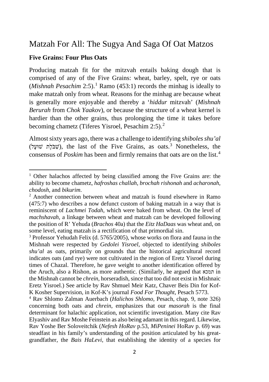# Matzah For All: The Sugya And Saga Of Oat Matzos

#### **Five Grains: Four Plus Oats**

Producing matzah fit for the mitzvah entails baking dough that is comprised of any of the Five Grains: wheat, barley, spelt, rye or oats (*Mishnah Pesachim* 2:5). [1](#page-2-0) Ramo (453:1) records the minhag is ideally to make matzah only from wheat. Reasons for the minhag are because wheat is generally more enjoyable and thereby a '*hiddur* mitzvah' (*Mishnah Berurah* from *Chok Yaakov*), or because the structure of a wheat kernel is hardier than the other grains, thus prolonging the time it takes before becoming chametz (Tiferes Yisroel, Pesachim [2](#page-2-1):5).<sup>2</sup>

Almost sixty years ago, there was a challenge to identifying *shiboles shu'al* (שִׁבֹּלֶת שׁוּעָל), the last of the Five Grains, as oats.<sup>3</sup> Nonetheless, the consensus of *Poskim* has been and firmly remains that oats are on the list.<sup>4</sup>

<span id="page-2-0"></span><sup>&</sup>lt;sup>1</sup> Other halachos affected by being classified among the Five Grains are: the ability to become chametz, *hafroshas challah*, *brochah rishonah* and *acharonah*, *chodosh*, and *bikurim*.

<span id="page-2-1"></span><sup>&</sup>lt;sup>2</sup> Another connection between wheat and matzah is found elsewhere in Ramo (475:7) who describes a now defunct custom of baking matzah in a way that is reminiscent of *Lachmei Todah*, which were baked from wheat. On the level of *machshavah*, a linkage between wheat and matzah can be developed following the position of R' Yehuda (*Brachos* 40a) that the *Eitz HaDaas* was wheat and, on some level, eating matzah is a rectification of that primordial sin.

<sup>3</sup> Professor Yehudah Felix (d. 5765/2005), whose works on flora and fauna in the Mishnah were respected by *Gedolei Yisroel*, objected to identifying *shiboles shu'al* as oats, primarily on grounds that the historical agricultural record indicates oats (and rye) were not cultivated in the region of Eretz Yisroel during times of Chazal. Therefore, he gave weight to another identification offered by the Aruch, also a Rishon, as more authentic. (Similarly, he argued that תמכא in the Mishnah cannot be *chrein*, horseradish, since that too did not exist in Mishnaic Eretz Yisroel.) See article by Rav Shmuel Meir Katz, Chaver Beis Din for Kof-K Kosher Supervision, in Kof-K's journal *Food For Thought*, Pesach 5773.

<sup>4</sup> Rav Shlomo Zalman Auerbach (*Halichos Shlomo*, Pesach, chap. 9, note 326) concerning both oats and *chrein*, emphasizes that our *masorah* is the final determinant for halachic application, not scientific investigation. Many cite Rav Elyashiv and Rav Moshe Feinstein as also being adamant in this regard. Likewise, Rav Yoshe Ber Soloveitchik (*Nefesh HoRav* p.53, *MiPeninei* HoRav p. 69) was steadfast in his family's understanding of the position articulated by his greatgrandfather, the *Bais HaLevi*, that establishing the identity of a species for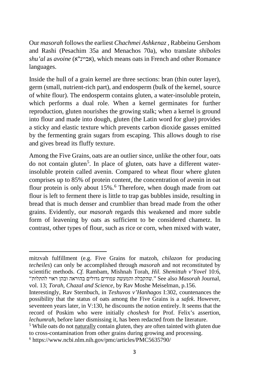Our *masorah* follows the earliest *Chachmei Ashkenaz* , Rabbeinu Gershom and Rashi (Pesachim 35a and Menachos 70a), who translate *shiboles shu'al* as *avoine* (א"אביינ(, which means oats in French and other Romance languages.

Inside the hull of a grain kernel are three sections: bran (thin outer layer), germ (small, nutrient-rich part), and endosperm (bulk of the kernel, source of white flour). The endosperm contains gluten, a water-insoluble protein, which performs a dual role. When a kernel germinates for further reproduction, gluten nourishes the growing stalk; when a kernel is ground into flour and made into dough, gluten (the Latin word for glue) provides a sticky and elastic texture which prevents carbon dioxide gasses emitted by the fermenting grain sugars from escaping. This allows dough to rise and gives bread its fluffy texture.

Among the Five Grains, oats are an outlier since, unlike the other four, oats do not contain gluten<sup>[5](#page-3-0)</sup>. In place of gluten, oats have a different waterinsoluble protein called avenin. Compared to wheat flour where gluten comprises up to 85% of protein content, the concentration of avenin in oat flour protein is only about 15%.<sup>[6](#page-3-1)</sup> Therefore, when dough made from oat flour is left to ferment there is little to trap gas bubbles inside, resulting in bread that is much denser and crumblier than bread made from the other grains. Evidently, our *masorah* regards this weakened and more subtle form of leavening by oats as sufficient to be considered chametz. In contrast, other types of flour, such as rice or corn, when mixed with water,

mitzvah fulfillment (e.g. Five Grains for matzoh, *chilazon* for producing *techeiles*) can only be accomplished through *masorah* and not reconstituted by scientific methods. *Cf.* Rambam, Mishnah Torah, *Hil. Shemittah v'Yovel* 10:6, ,Journal *Masorah* also See" .שהקבלה והמעשה עמודים גדולים בהוראה ובהן ראוי להתלות" vol. 13; *Torah, Chazal and Science*, by Rav Moshe Meiselman, p.156.

Interestingly, Rav Sternbuch, in *Teshuvos v'Hanhagos* I:302, countenances the possibility that the status of oats among the Five Grains is a *safek*. However, seventeen years later, in V:130, he discounts the notion entirely. It seems that the record of Poskim who were initially *choshesh* for Prof. Felix's assertion, *lechumrah*, before later dismissing it, has been redacted from the literature.

<span id="page-3-1"></span><span id="page-3-0"></span><sup>5</sup> While oats do not naturally contain gluten, they are often tainted with gluten due to cross-contamination from other grains during growing and processing. <sup>6</sup> https://www.ncbi.nlm.nih.gov/pmc/articles/PMC5635790/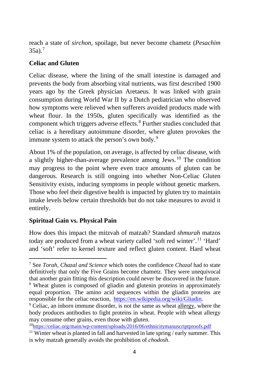reach a state of *sirchon*, spoilage, but never become chametz (*Pesachim*   $35a$ ).<sup>[7](#page-4-0)</sup>

# **Celiac and Gluten**

Celiac disease, where the lining of the small intestine is damaged and prevents the body from absorbing vital nutrients, was first described 1900 years ago by the Greek physician Aretaeus. It was linked with grain consumption during World War II by a Dutch pediatrician who observed how symptoms were relieved when sufferers avoided products made with wheat flour. In the 1950s, gluten specifically was identified as the component which triggers adverse effects. [8](#page-4-1) Further studies concluded that celiac is a hereditary autoimmune disorder, where gluten provokes the immune system to attack the person's own body.<sup>[9](#page-4-2)</sup>

About 1% of the population, on average, is affected by celiac disease, with a slightly higher-than-average prevalence among Jews.[10](#page-4-3) The condition may progress to the point where even trace amounts of gluten can be dangerous. Research is still ongoing into whether Non-Celiac Gluten Sensitivity exists, inducing symptoms in people without genetic markers. Those who feel their digestive health is impacted by gluten try to maintain intake levels below certain thresholds but do not take measures to avoid it entirely.

# **Spiritual Gain vs. Physical Pain**

How does this impact the mitzvah of matzah? Standard *shmurah* matzos today are produced from a wheat variety called 'soft red winter'.<sup>[11](#page-4-4)</sup> 'Hard' and 'soft' refer to kernel texture and reflect gluten content. Hard wheat

<span id="page-4-0"></span><sup>7</sup> See *Torah, Chazal and Science* which notes the confidence *Chazal* had to state definitively that only the Five Grains become chametz. They were unequivocal that another grain fitting this description could never be discovered in the future. <sup>8</sup> Wheat gluten is composed of gliadin and glutenin proteins in approximately equal proportion. The amino acid sequences within the gliadin proteins are responsible for the celiac reaction, [https://en.wikipedia.org/wiki/Gliadin.](https://en.wikipedia.org/wiki/Gliadin)

<span id="page-4-2"></span><span id="page-4-1"></span><sup>9</sup> Celiac, an inborn immune disorder, is not the same as wheat allergy, where the body produces antibodies to fight proteins in wheat. People with wheat allergy may consume other grains, even those with gluten.

<span id="page-4-3"></span><sup>1</sup>[0https://celiac.org/main/wp-content/uploads/2016/06/ethnicitymanuscriptproofs.pdf](https://celiac.org/main/wp-content/uploads/2016/06/ethnicitymanuscriptproofs.pdf)

<span id="page-4-4"></span> $11$  Winter wheat is planted in fall and harvested in late spring / early summer. This is why matzah generally avoids the prohibition of *chodosh*.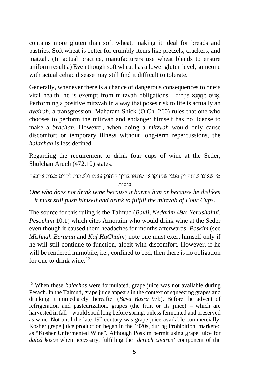contains more gluten than soft wheat, making it ideal for breads and pastries. Soft wheat is better for crumbly items like pretzels, crackers, and matzah. (In actual practice, manufacturers use wheat blends to ensure uniform results.) Even though soft wheat has a lower gluten level, someone with actual celiac disease may still find it difficult to tolerate.

Generally, whenever there is a chance of dangerous consequences to one's vital health, he is exempt from mitzvah obligations - אֲנוּס רַחֲמַנָא פַּטְרֵיה. Performing a positive mitzvah in a way that poses risk to life is actually an *aveirah*, a transgression. Maharam Shick (O.Ch. 260) rules that one who chooses to perform the mitzvah and endanger himself has no license to make a *brachah*. However, when doing a *mitzvah* would only cause discomfort or temporary illness without long-term repercussions, the *halachah* is less defined.

Regarding the requirement to drink four cups of wine at the Seder, Shulchan Aruch (472:10) states:

```
מי שאינו שותה יין מפני שמזיקו או שונאו צריך לדחוק עצמו ולשתות לקיים מצות ארבעה 
                        כוסות
```
*One who does not drink wine because it harms him or because he dislikes it must still push himself and drink to fulfill the mitzvah of Four Cups*.

The source for this ruling is the Talmud (*Bavli*, *Nedarim* 49a; *Yerushalmi*, *Pesachim* 10:1) which cites Amoraim who would drink wine at the Seder even though it caused them headaches for months afterwards. *Poskim* (see *Mishnah Berurah* and *Kaf HaChaim*) note one must exert himself only if he will still continue to function, albeit with discomfort. However, if he will be rendered immobile, i.e., confined to bed, then there is no obligation for one to drink wine.<sup>[12](#page-5-0)</sup>

<span id="page-5-0"></span><sup>12</sup> When these *halachos* were formulated, grape juice was not available during Pesach. In the Talmud, grape juice appears in the context of squeezing grapes and drinking it immediately thereafter (*Bava Basra* 97b). Before the advent of refrigeration and pasteurization, grapes (the fruit or its juice) – which are harvested in fall – would spoil long before spring, unless fermented and preserved as wine. Not until the late  $19<sup>th</sup>$  century was grape juice available commercially. Kosher grape juice production began in the 1920s, during Prohibition, marketed as "Kosher Unfermented Wine". Although Poskim permit using grape juice for *daled kosos* when necessary, fulfilling the '*derech cheirus'* component of the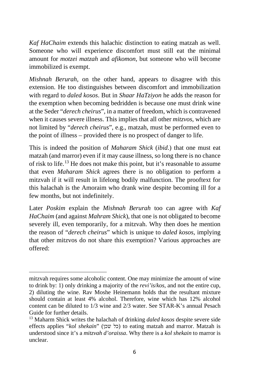*Kaf HaChaim* extends this halachic distinction to eating matzah as well. Someone who will experience discomfort must still eat the minimal amount for *motzei matzah* and *afikomon*, but someone who will become immobilized is exempt.

*Mishnah Berurah*, on the other hand, appears to disagree with this extension. He too distinguishes between discomfort and immobilization with regard to *daled kosos*. But in *Shaar HaTziyon* he adds the reason for the exemption when becoming bedridden is because one must drink wine at the Seder "*derech cheirus*", in a matter of freedom, which is contravened when it causes severe illness. This implies that all other *mitzvos*, which are not limited by "*derech cheirus*", e.g., matzah, must be performed even to the point of illness – provided there is no prospect of danger to life.

This is indeed the position of *Maharam Shick* (*ibid*.) that one must eat matzah (and marror) even if it may cause illness, so long there is no chance of risk to life.[13](#page-6-0) He does not make this point, but it's reasonable to assume that even *Maharam Shick* agrees there is no obligation to perform a mitzvah if it will result in lifelong bodily malfunction. The prooftext for this halachah is the Amoraim who drank wine despite becoming ill for a few months, but not indefinitely.

Later *Poskim* explain the *Mishnah Berurah* too can agree with *Kaf HaChaim* (and against *Mahram Shick*), that one is not obligated to become severely ill, even temporarily, for a mitzvah. Why then does he mention the reason of "*derech cheirus*" which is unique to *daled kosos*, implying that other mitzvos do not share this exemption? Various approaches are offered:

mitzvah requires some alcoholic content. One may minimize the amount of wine to drink by: 1) only drinking a majority of the *revi'is*/*kos*, and not the entire cup, 2) diluting the wine. Rav Moshe Heinemann holds that the resultant mixture should contain at least 4% alcohol. Therefore, wine which has 12% alcohol content can be diluted to 1/3 wine and 2/3 water. See STAR-K's annual Pesach Guide for further details.

<span id="page-6-0"></span><sup>13</sup> Maharm Shick writes the halachah of drinking *daled kosos* despite severe side effects applies "*kol shekain*" (כל שכן) to eating matzah and marror. Matzah is understood since it's a *mitzvah d'oraissa*. Why there is a *kol shekain* to marror is unclear.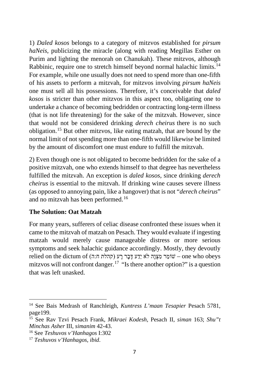1) *Daled kosos* belongs to a category of mitzvos established for *pirsum haNeis*, publicizing the miracle (along with reading Megillas Esther on Purim and lighting the menorah on Chanukah). These mitzvos, although Rabbinic, require one to stretch himself beyond normal halachic limits.<sup>[14](#page-7-0)</sup> For example, while one usually does not need to spend more than one-fifth of his assets to perform a mitzvah, for mitzvos involving *pirsum haNeis*  one must sell all his possessions. Therefore, it's conceivable that *daled kosos* is stricter than other mitzvos in this aspect too, obligating one to undertake a chance of becoming bedridden or contracting long-term illness (that is not life threatening) for the sake of the mitzvah. However, since that would not be considered drinking *derech cheirus* there is no such obligation.[15](#page-7-1) But other mitzvos, like eating matzah, that are bound by the normal limit of not spending more than one-fifth would likewise be limited by the amount of discomfort one must endure to fulfill the mitzvah.

2) Even though one is not obligated to become bedridden for the sake of a positive mitzvah, one who extends himself to that degree has nevertheless fulfilled the mitzvah. An exception is *daled kosos*, since drinking *derech cheirus* is essential to the mitzvah. If drinking wine causes severe illness (as opposed to annoying pain, like a hangover) that is not "*derech cheirus*" and no mitzvah has been performed.<sup>[16](#page-7-2)</sup>

## **The Solution: Oat Matzah**

For many years, sufferers of celiac disease confronted these issues when it came to the mitzvah of matzah on Pesach. They would evaluate if ingesting matzah would merely cause manageable distress or more serious symptoms and seek halachic guidance accordingly. Mostly, they devoutly relied on the dictum of (קהלת ח:ה) יָשׁוֹמֵר מִצְנָה לֹא יֵדַע דָּבָר רָע (קהלת ח mitzvos will not confront danger.<sup>17</sup> "Is there another option?" is a question that was left unasked.

<span id="page-7-0"></span><sup>14</sup> See Bais Medrash of Ranchleigh, *Kuntress L'maan Tesapier* Pesach 5781, page199.

<span id="page-7-1"></span><sup>15</sup> See Rav Tzvi Pesach Frank, *Mikraei Kodesh*, Pesach II, *siman* 163; *Shu"t Minchas Asher* III, *simanim* 42-43.

<span id="page-7-2"></span><sup>16</sup> See *Teshuvos v'Hanhagos* I:302

<sup>17</sup> *Teshuvos v'Hanhagos, ibid*.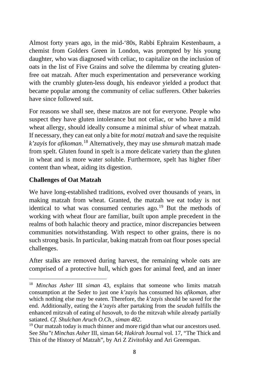Almost forty years ago, in the mid-'80s, Rabbi Ephraim Kestenbaum, a chemist from Golders Green in London, was prompted by his young daughter, who was diagnosed with celiac, to capitalize on the inclusion of oats in the list of Five Grains and solve the dilemma by creating glutenfree oat matzah. After much experimentation and perseverance working with the crumbly gluten-less dough, his endeavor yielded a product that became popular among the community of celiac sufferers. Other bakeries have since followed suit.

For reasons we shall see, these matzos are not for everyone. People who suspect they have gluten intolerance but not celiac, or who have a mild wheat allergy, should ideally consume a minimal *shiur* of wheat matzah. If necessary, they can eat only a bite for *motzi matzah* and save the requisite *k'zayis* for *afikoman*. [18](#page-8-0) Alternatively, they may use *shmurah* matzah made from spelt. Gluten found in spelt is a more delicate variety than the gluten in wheat and is more water soluble. Furthermore, spelt has higher fiber content than wheat, aiding its digestion.

## **Challenges of Oat Matzah**

We have long-established traditions, evolved over thousands of years, in making matzah from wheat. Granted, the matzah we eat today is not identical to what was consumed centuries ago.<sup>[19](#page-8-1)</sup> But the methods of working with wheat flour are familiar, built upon ample precedent in the realms of both halachic theory and practice, minor discrepancies between communities notwithstanding. With respect to other grains, there is no such strong basis. In particular, baking matzah from oat flour poses special challenges.

After stalks are removed during harvest, the remaining whole oats are comprised of a protective hull, which goes for animal feed, and an inner

<span id="page-8-0"></span><sup>18</sup> *Minchas Asher* III *siman* 43, explains that someone who limits matzah consumption at the Seder to just one *k'zayis* has consumed his *afikoman*, after which nothing else may be eaten. Therefore, the *k'zayis* should be saved for the end. Additionally, eating the *k'zayis* after partaking from the *seudah* fulfills the enhanced mitzvah of eating *al hasovah*, to do the mitzvah while already partially satiated. *Cf. Shulchan Aruch O.Ch., siman 482*.

<span id="page-8-1"></span><sup>&</sup>lt;sup>19</sup> Our matzah today is much thinner and more rigid than what our ancestors used. See *Shu"t Minchas Asher* III, siman 64; *Hakirah* Journal vol. 17, "The Thick and Thin of the History of Matzah", by Ari Z Zivitofsky and Ari Greenspan.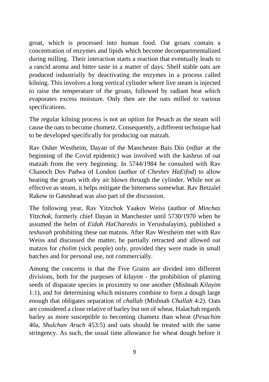groat, which is processed into human food. Oat groats contain a concentration of enzymes and lipids which become decompartmentalized during milling. Their interaction starts a reaction that eventually leads to a rancid aroma and bitter taste in a matter of days. Shelf stable oats are produced industrially by deactivating the enzymes in a process called kilning. This involves a long vertical cylinder where live steam is injected to raise the temperature of the groats, followed by radiant heat which evaporates excess moisture. Only then are the oats milled to various specifications.

The regular kilning process is not an option for Pesach as the steam will cause the oats to become chometz. Consequently, a different technique had to be developed specifically for producing oat matzah.

Rav Osher Westheim, Dayan of the Manchester Bais Din (*niftar* at the beginning of the Covid epidemic) was involved with the kashrus of oat matzah from the very beginning. In 5744/1984 he consulted with Rav Chanoch Dov Padwa of London (author of *Cheshev HaEifod*) to allow heating the groats with dry air blown through the cylinder. While not as effective as steam, it helps mitigate the bitterness somewhat. Rav Betzalel Rakow in Gateshead was also part of the discussion.

The following year, Rav Yitzchok Yaakov Weiss (author of *Minchas Yitzchok*, formerly chief Dayan in Manchester until 5730/1970 when he assumed the helm of *Eidah HaCharedis* in Yerushalayim), published a *teshuvah* prohibiting these oat matzos. After Rav Westheim met with Rav Weiss and discussed the matter, he partially retracted and allowed oat matzos for *cholim* (sick people) only, provided they were made in small batches and for personal use, not commercially.

Among the concerns is that the Five Grains are divided into different divisions, both for the purposes of *kilayim* - the prohibition of planting seeds of disparate species in proximity to one another (Mishnah *Kilayim*  1:1), and for determining which mixtures combine to form a dough large enough that obligates separation of *challah* (Mishnah *Challah* 4:2). Oats are considered a close relative of barley but not of wheat. Halachah regards barley as more susceptible to becoming chametz than wheat (*Pesachim*  40a, *Shulchan Aruch* 453:5) and oats should be treated with the same stringency. As such, the usual time allowance for wheat dough before it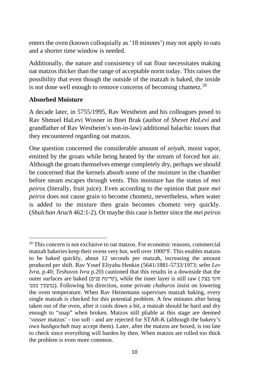enters the oven (known colloquially as '18 minutes') may not apply to oats and a shorter time window is needed.

Additionally, the nature and consistency of oat flour necessitates making oat matzos thicker than the range of acceptable norm today. This raises the possibility that even though the outside of the matzah is baked, the inside is not done well enough to remove concerns of becoming chametz.<sup>[20](#page-10-0)</sup>

#### **Absorbed Moisture**

A decade later, in 5755/1995, Rav Westheim and his colleagues posed to Rav Shmuel HaLevi Wosner in Bnei Brak (author of *Shevet HaLevi* and grandfather of Rav Westheim's son-in-law) additional halachic issues that they encountered regarding oat matzos.

One question concerned the considerable amount of *zeiyah*, moist vapor, emitted by the groats while being heated by the stream of forced hot air. Although the groats themselves emerge completely dry, perhaps we should be concerned that the kernels absorb some of the moisture in the chamber before steam escapes through vents. This moisture has the status of *mei peiros* (literally, fruit juice). Even according to the opinion that pure *mei peiros* does not cause grain to become chometz, nevertheless, when water is added to the mixture then grain becomes chometz very quickly. (*Shulchan Aruch* 462:1-2). Or maybe this case is better since the *mei peiros*

<span id="page-10-0"></span><sup>&</sup>lt;sup>20</sup> This concern is not exclusive to oat matzos. For economic reasons, commercial matzah bakeries keep their ovens very hot, well over 1000°F. This enables matzos to be baked quickly, about 12 seconds per matzah, increasing the amount produced per shift. Rav Yosef Eliyahu Henkin (5641/1881-5733/1973; sefer *Lev Ivra*, p.40; *Teshuvos Ivra* p.20) cautioned that this results in a downside that the outer surfaces are baked ( פנים קרימת(, while the inner layer is still raw ( בצק חוטי ממנו נמשכין(. Following his direction, some private *chaburos* insist on lowering the oven temperature. When Rav Heinemann supervises matzah baking, every single matzah is checked for this potential problem. A few minutes after being taken out of the oven, after it cools down a bit, a matzah should be hard and dry enough to "snap" when broken. Matzos still pliable at this stage are deemed '*vasser* matzos' - too soft - and are rejected for STAR-K (although the bakery's own *hashgochah* may accept them). Later, after the matzos are boxed, is too late to check since everything will harden by then. When matzos are rolled too thick the problem is even more common.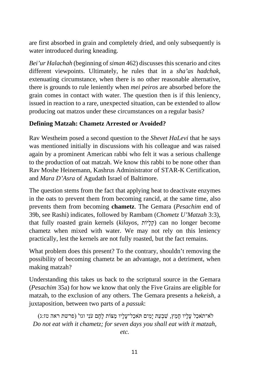are first absorbed in grain and completely dried, and only subsequently is water introduced during kneading.

*Bei'ur Halachah* (beginning of *siman* 462) discusses this scenario and cites different viewpoints. Ultimately, he rules that in a *sha'as hadchak*, extenuating circumstance, when there is no other reasonable alternative, there is grounds to rule leniently when *mei peiros* are absorbed before the grain comes in contact with water. The question then is if this leniency, issued in reaction to a rare, unexpected situation, can be extended to allow producing oat matzos under these circumstances on a regular basis?

## **Defining Matzah: Chametz Arrested or Avoided?**

Rav Westheim posed a second question to the *Shevet HaLevi* that he says was mentioned initially in discussions with his colleague and was raised again by a prominent American rabbi who felt it was a serious challenge to the production of oat matzah. We know this rabbi to be none other than Rav Moshe Heinemann, Kashrus Administrator of STAR-K Certification, and *Mara D'Asra* of Agudath Israel of Baltimore.

The question stems from the fact that applying heat to deactivate enzymes in the oats to prevent them from becoming rancid, at the same time, also prevents them from becoming **chametz**. The Gemara (*Pesachim* end of 39b, see Rashi) indicates, followed by Rambam (*Chometz U'Matzah* 3:3), that fully roasted grain kernels (*kilayos*, קלָיוֹת) can no longer become chametz when mixed with water. We may not rely on this leniency practically, lest the kernels are not fully roasted, but the fact remains.

What problem does this present? To the contrary, shouldn't removing the possibility of becoming chametz be an advantage, not a detriment, when making matzah?

Understanding this takes us back to the scriptural source in the Gemara (*Pesachim* 35a) for how we know that only the Five Grains are eligible for matzah, to the exclusion of any others. The Gemara presents a *hekeish*, a juxtaposition, between two parts of a *passuk*:

לֹא־תֹאכַל עָלָיו חָמֵץ, שִׁבְעַת יָמִים תֹּאכַל־עָלָיו מַצּוֹת לֶחֶם עֹנִי וגו' (פרשת ראה טז:ג) *Do not eat with it chametz; for seven days you shall eat with it matzah, etc.*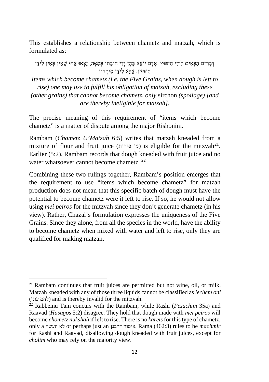This establishes a relationship between chametz and matzah, which is formulated as:

דְּבָרִים הַבָּאִים לִידֵי חִימּוּץ אֲדָם יוֹצֵא בָּהֶן יְדֵי חוֹבָתוֹ בְּמַצָּה, יַצְאוּ אֶלּוּ שֶׁאֵין בַּאִין לִידֵי חִ ימּוּץ, אֶ לָּא לִידֵ י סִ ירְ חוֹן *Items which become chametz (i.e. the Five Grains, when dough is left to rise) one may use to fulfill his obligation of matzah, excluding these (other grains) that cannot become chametz, only* sirchon *(spoilage) [and are thereby ineligible for matzah].*

The precise meaning of this requirement of "items which become chametz" is a matter of dispute among the major Rishonim.

Rambam (*Chametz U'Matzah* 6:5) writes that matzah kneaded from a mixture of flour and fruit juice (מי פירות) is eligible for the mitzvah<sup>21</sup>. Earlier (5:2), Rambam records that dough kneaded with fruit juice and no water whatsoever cannot become chametz. <sup>22</sup>

Combining these two rulings together, Rambam's position emerges that the requirement to use "items which become chametz" for matzah production does not mean that this specific batch of dough must have the potential to become chametz were it left to rise. If so, he would not allow using *mei peiros* for the mitzvah since they don't generate chametz (in his view). Rather, Chazal's formulation expresses the uniqueness of the Five Grains. Since they alone, from all the species in the world, have the ability to become chametz when mixed with water and left to rise, only they are qualified for making matzah.

<sup>21</sup> Rambam continues that fruit juices are permitted but not wine, oil, or milk. Matzah kneaded with any of those three liquids cannot be classified as *lechem oni* (לחם עוני) and is thereby invalid for the mitzvah.

<sup>22</sup> Rabbeinu Tam concurs with the Rambam, while Rashi (*Pesachim* 35a) and Raavad (*Hasagos* 5:2) disagree. They hold that dough made with *mei peiros* will become *chometz nukshah* if left to rise. There is no *kareis* for this type of chametz, only a תעשה לא or perhaps just an דרבנן איסור. Rama (462:3) rules to be *machmir* for Rashi and Raavad, disallowing dough kneaded with fruit juices, except for *cholim* who may rely on the majority view.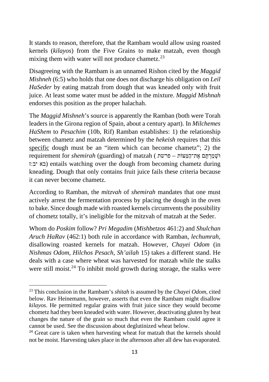It stands to reason, therefore, that the Rambam would allow using roasted kernels (*kilayos*) from the Five Grains to make matzah, even though mixing them with water will not produce chametz.<sup>[23](#page-13-0)</sup>

Disagreeing with the Rambam is an unnamed Rishon cited by the *Maggid Mishneh* (6:5) who holds that one does not discharge his obligation on *Leil HaSeder* by eating matzah from dough that was kneaded only with fruit juice. At least some water must be added in the mixture. *Maggid Mishnah* endorses this position as the proper halachah.

The *Maggid Mishneh*'s source is apparently the Ramban (both were Torah leaders in the Girona region of Spain, about a century apart). In *Milchemes HaShem* to *Pesachim* (10b, Rif) Ramban establishes: 1) the relationship between chametz and matzah determined by the *hekeish* requires that this specific dough must be an "item which can become chametz"; 2) the וּשְׁ מַ רְ תֶּ ם אֶ ת־הַ מַּ צּוֹת – פרשת ) matzah of) guarding (*shemirah* for requirement ז:יב בא (entails watching over the dough from becoming chametz during kneading. Dough that only contains fruit juice fails these criteria because it can never become chametz.

According to Ramban, the *mitzvah* of *shemirah* mandates that one must actively arrest the fermentation process by placing the dough in the oven to bake. Since dough made with roasted kernels circumvents the possibility of chometz totally, it's ineligible for the mitzvah of matzah at the Seder.

Whom do *Poskim* follow? *Pri Megadim* (*Mishbetzos* 461:2) and *Shulchan Aruch HaRav* (462:1) both rule in accordance with Ramban, *lechumrah*, disallowing roasted kernels for matzah. However, *Chayei Odom* (in *Nishmas Odom*, *Hilchos Pesach, Sh'ailah* 15) takes a different stand. He deals with a case where wheat was harvested for matzah while the stalks were still moist.<sup>[24](#page-13-1)</sup> To inhibit mold growth during storage, the stalks were

<span id="page-13-0"></span><sup>23</sup> This conclusion in the Rambam's *shitah* is assumed by the *Chayei Odom*, cited below. Rav Heinemann, however, asserts that even the Rambam might disallow *kilayos*. He permitted regular grains with fruit juice since they would become chometz had they been kneaded with water. However, deactivating gluten by heat changes the nature of the grain so much that even the Rambam could agree it cannot be used. See the discussion about deglutinized wheat below.

<span id="page-13-1"></span><sup>&</sup>lt;sup>24</sup> Great care is taken when harvesting wheat for matzah that the kernels should not be moist. Harvesting takes place in the afternoon after all dew has evaporated.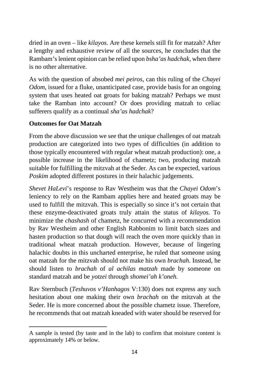dried in an oven – like *kilayos*. Are these kernels still fit for matzah? After a lengthy and exhaustive review of all the sources, he concludes that the Rambam's lenient opinion can be relied upon *bsha'as hadchak*, when there is no other alternative.

As with the question of absobed *mei peiros*, can this ruling of the *Chayei Odom*, issued for a fluke, unanticipated case, provide basis for an ongoing system that uses heated oat groats for baking matzah? Perhaps we must take the Ramban into account? Or does providing matzah to celiac sufferers qualify as a continual *sha'as hadchak*?

## **Outcomes for Oat Matzah**

From the above discussion we see that the unique challenges of oat matzah production are categorized into two types of difficulties (in addition to those typically encountered with regular wheat matzah production): one, a possible increase in the likelihood of chametz; two, producing matzah suitable for fulfilling the mitzvah at the Seder. As can be expected, various *Poskim* adopted different postures in their halachic judgements.

*Shevet HaLevi*'s response to Rav Westheim was that the *Chayei Odom*'s leniency to rely on the Rambam applies here and heated groats may be used to fulfill the mitzvah. This is especially so since it's not certain that these enzyme-deactivated groats truly attain the status of *kilayos*. To minimize the *chashash* of chametz, he concurred with a recommendation by Rav Westheim and other English Rabbonim to limit batch sizes and hasten production so that dough will reach the oven more quickly than in traditional wheat matzah production. However, because of lingering halachic doubts in this uncharted enterprise, he ruled that someone using oat matzah for the mitzvah should not make his own *brachah*. Instead, he should listen to *brachah* of *al achilas matzah* made by someone on standard matzah and be *yotzei* through *shomei'ah k'oneh*.

Rav Sternbuch (*Teshuvos v'Hanhagos* V:130) does not express any such hesitation about one making their own *brachah* on the mitzvah at the Seder. He is more concerned about the possible chametz issue. Therefore, he recommends that oat matzah kneaded with water should be reserved for

A sample is tested (by taste and in the lab) to confirm that moisture content is approximately 14% or below.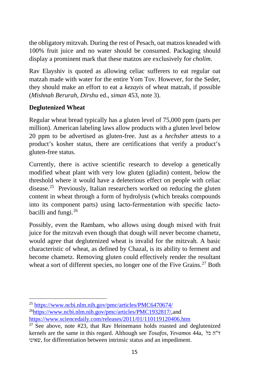the obligatory mitzvah. During the rest of Pesach, oat matzos kneaded with 100% fruit juice and no water should be consumed. Packaging should display a prominent mark that these matzos are exclusively for *cholim*.

Rav Elayshiv is quoted as allowing celiac sufferers to eat regular oat matzah made with water for the entire Yom Tov. However, for the Seder, they should make an effort to eat a *kezayis* of wheat matzah, if possible (*Mishnah Berurah*, *Dirshu* ed., *siman* 453, note 3).

## **Deglutenized Wheat**

Regular wheat bread typically has a gluten level of 75,000 ppm (parts per million). American labeling laws allow products with a gluten level below 20 ppm to be advertised as gluten-free. Just as a *hechsher* attests to a product's kosher status, there are certifications that verify a product's gluten-free status.

Currently, there is active scientific research to develop a genetically modified wheat plant with very low gluten (gliadin) content, below the threshold where it would have a deleterious effect on people with celiac disease.[25](#page-15-0) Previously, Italian researchers worked on reducing the gluten content in wheat through a form of hydrolysis (which breaks compounds into its component parts) using lacto-fermentation with specific lacto-bacilli and fungi.<sup>[26](#page-15-1)</sup>

Possibly, even the Rambam, who allows using dough mixed with fruit juice for the mitzvah even though that dough will never become chametz, would agree that deglutenized wheat is invalid for the mitzvah. A basic characteristic of wheat, as defined by Chazal, is its ability to ferment and become chametz. Removing gluten could effectively render the resultant wheat a sort of different species, no longer one of the Five Grains.<sup>[27](#page-15-2)</sup> Both

<span id="page-15-0"></span><sup>25</sup> <https://www.ncbi.nlm.nih.gov/pmc/articles/PMC6470674/>

<span id="page-15-1"></span><sup>2</sup>[6https://www.ncbi.nlm.nih.gov/pmc/articles/PMC1932817/](https://www.ncbi.nlm.nih.gov/pmc/articles/PMC1932817/),and <https://www.sciencedaily.com/releases/2011/01/110119120406.htm>

<span id="page-15-2"></span> $27$  See above, note  $#23$ , that Rav Heinemann holds roasted and deglutenized kernels are the same in this regard. Although see *Tosafos*, *Yevamos* 44a, כל ה"ד שאינו, for differentiation between intrinsic status and an impediment.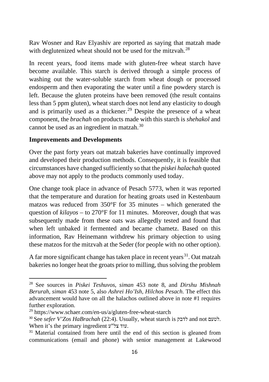Rav Wosner and Rav Elyashiv are reported as saying that matzah made with deglutenized wheat should not be used for the mitzvah.<sup>[28](#page-16-0)</sup>

In recent years, food items made with gluten-free wheat starch have become available. This starch is derived through a simple process of washing out the water-soluble starch from wheat dough or processed endosperm and then evaporating the water until a fine powdery starch is left. Because the gluten proteins have been removed (the result contains less than 5 ppm gluten), wheat starch does not lend any elasticity to dough and is primarily used as a thickener.<sup>[29](#page-16-1)</sup> Despite the presence of a wheat component, the *brachah* on products made with this starch is *shehakol* and cannot be used as an ingredient in matzah.[30](#page-16-2)

## **Improvements and Developments**

Over the past forty years oat matzah bakeries have continually improved and developed their production methods. Consequently, it is feasible that circumstances have changed sufficiently so that the *piskei halachah* quoted above may not apply to the products commonly used today.

One change took place in advance of Pesach 5773, when it was reported that the temperature and duration for heating groats used in Kestenbaum matzos was reduced from 350°F for 35 minutes – which generated the question of *kilayos* – to 270°F for 11 minutes. Moreover, dough that was subsequently made from these oats was allegedly tested and found that when left unbaked it fermented and became chametz. Based on this information, Rav Heinemann withdrew his primary objection to using these matzos for the mitzvah at the Seder (for people with no other option).

A far more significant change has taken place in recent years  $31$ . Oat matzah bakeries no longer heat the groats prior to milling, thus solving the problem

<span id="page-16-0"></span><sup>28</sup> See sources in *Piskei Teshuvos*, *siman* 453 note 8, and *Dirshu Mishnah Berurah*, *siman* 453 note 5, also *Ashrei Ho'Ish*, *Hilchos Pesach*. The effect this advancement would have on all the halachos outlined above in note #1 requires further exploration.

<span id="page-16-1"></span> $^{29}$  https://www.schaer.com/en-us/a/gluten-free-wheat-starch

<span id="page-16-2"></span><sup>30</sup> See *sefer V'Zos HaBrachah* (22:4). Usually, wheat starch is לדבק and not לטעם. When it's the primary ingredient ע"צל עוד.

<span id="page-16-3"></span><sup>&</sup>lt;sup>31</sup> Material contained from here until the end of this section is gleaned from communications (email and phone) with senior management at Lakewood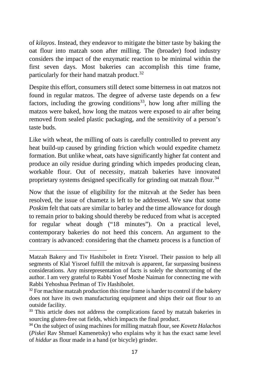of *kilayos*. Instead, they endeavor to mitigate the bitter taste by baking the oat flour into matzah soon after milling. The (broader) food industry considers the impact of the enzymatic reaction to be minimal within the first seven days. Most bakeries can accomplish this time frame, particularly for their hand matzah product.<sup>[32](#page-17-0)</sup>

Despite this effort, consumers still detect some bitterness in oat matzos not found in regular matzos. The degree of adverse taste depends on a few factors, including the growing conditions<sup>[33](#page-17-1)</sup>, how long after milling the matzos were baked, how long the matzos were exposed to air after being removed from sealed plastic packaging, and the sensitivity of a person's taste buds.

Like with wheat, the milling of oats is carefully controlled to prevent any heat build-up caused by grinding friction which would expedite chametz formation. But unlike wheat, oats have significantly higher fat content and produce an oily residue during grinding which impedes producing clean, workable flour. Out of necessity, matzah bakeries have innovated proprietary systems designed specifically for grinding oat matzah flour.<sup>[34](#page-17-2)</sup>

Now that the issue of eligibility for the mitzvah at the Seder has been resolved, the issue of chametz is left to be addressed. We saw that some *Poskim* felt that oats are similar to barley and the time allowance for dough to remain prior to baking should thereby be reduced from what is accepted for regular wheat dough ("18 minutes"). On a practical level, contemporary bakeries do not heed this concern. An argument to the contrary is advanced: considering that the chametz process is a function of

Matzah Bakery and Tiv Hashibolet in Eretz Yisroel. Their passion to help all segments of Klal Yisroel fulfill the mitzvah is apparent, far surpassing business considerations. Any misrepresentation of facts is solely the shortcoming of the author. I am very grateful to Rabbi Yosef Moshe Naiman for connecting me with Rabbi Yehoshua Perlman of Tiv Hashibolet.

<span id="page-17-0"></span> $32$  For machine matzah production this time frame is harder to control if the bakery does not have its own manufacturing equipment and ships their oat flour to an outside facility.

<span id="page-17-1"></span><sup>&</sup>lt;sup>33</sup> This article does not address the complications faced by matzah bakeries in sourcing gluten-free oat fields, which impacts the final product.

<span id="page-17-2"></span><sup>34</sup> On the subject of using machines for milling matzah flour, see *Kovetz Halachos* (*Piskei* Rav Shmuel Kamenetsky) who explains why it has the exact same level of *hiddur* as flour made in a hand (or bicycle) grinder.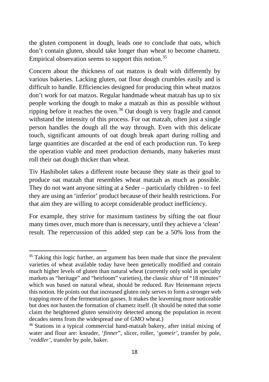the gluten component in dough, leads one to conclude that oats, which don't contain gluten, should take longer than wheat to become chametz. Empirical observation seems to support this notion. [35](#page-18-0)

Concern about the thickness of oat matzos is dealt with differently by various bakeries. Lacking gluten, oat flour dough crumbles easily and is difficult to handle. Efficiencies designed for producing thin wheat matzos don't work for oat matzos. Regular handmade wheat matzah has up to six people working the dough to make a matzah as thin as possible without ripping before it reaches the oven.<sup>[36](#page-18-1)</sup> Oat dough is very fragile and cannot withstand the intensity of this process. For oat matzah, often just a single person handles the dough all the way through. Even with this delicate touch, significant amounts of oat dough break apart during rolling and large quantities are discarded at the end of each production run. To keep the operation viable and meet production demands, many bakeries must roll their oat dough thicker than wheat.

Tiv Hashibolet takes a different route because they state as their goal to produce oat matzah that resembles wheat matzah as much as possible. They do not want anyone sitting at a Seder – particularly children - to feel they are using an 'inferior' product because of their health restrictions. For that aim they are willing to accept considerable product inefficiency.

For example, they strive for maximum tastiness by sifting the oat flour many times over, much more than is necessary, until they achieve a 'clean' result. The repercussion of this added step can be a 50% loss from the

<span id="page-18-0"></span><sup>&</sup>lt;sup>35</sup> Taking this logic further, an argument has been made that since the prevalent varieties of wheat available today have been genetically modified and contain much higher levels of gluten than natural wheat (currently only sold in specialty markets as "heritage" and "heirloom" varieties), the classic *shiur* of "18 minutes" which was based on natural wheat, should be reduced. Rav Heinemann rejects this notion. He points out that increased gluten only serves to form a stronger web trapping more of the fermentation gasses. It makes the leavening more noticeable but does not hasten the formation of chametz itself. (It should be noted that some claim the heightened gluten sensitivity detected among the population in recent decades stems from the widespread use of GMO wheat.)

<span id="page-18-1"></span><sup>36</sup> Stations in a typical commercial hand-matzah bakery, after initial mixing of water and flour are: kneader, '*finner*", slicer, roller, '*gomeir'*, transfer by pole, '*reddler'*, transfer by pole, baker.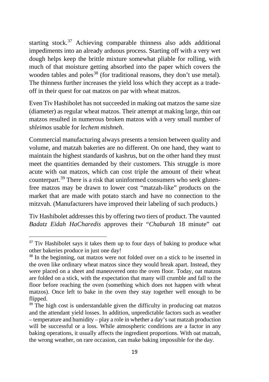starting stock.<sup>[37](#page-19-0)</sup> Achieving comparable thinness also adds additional impediments into an already arduous process. Starting off with a very wet dough helps keep the brittle mixture somewhat pliable for rolling, with much of that moisture getting absorbed into the paper which covers the wooden tables and poles<sup>[38](#page-19-1)</sup> (for traditional reasons, they don't use metal). The thinness further increases the yield loss which they accept as a tradeoff in their quest for oat matzos on par with wheat matzos.

Even Tiv Hashibolet has not succeeded in making oat matzos the same size (diameter) as regular wheat matzos. Their attempt at making large, thin oat matzos resulted in numerous broken matzos with a very small number of *shleimos* usable for *lechem mishneh*.

Commercial manufacturing always presents a tension between quality and volume, and matzah bakeries are no different. On one hand, they want to maintain the highest standards of kashrus, but on the other hand they must meet the quantities demanded by their customers. This struggle is more acute with oat matzos, which can cost triple the amount of their wheat counterpart.[39](#page-19-2) There is a risk that uninformed consumers who seek glutenfree matzos may be drawn to lower cost "matzah-like" products on the market that are made with potato starch and have no connection to the mitzvah. (Manufacturers have improved their labeling of such products.)

Tiv Hashibolet addresses this by offering two tiers of product. The vaunted *Badatz Eidah HaCharedis* approves their "*Chaburah* 18 minute" oat

<span id="page-19-0"></span><sup>&</sup>lt;sup>37</sup> Tiv Hashibolet says it takes them up to four days of baking to produce what other bakeries produce in just one day!

<span id="page-19-1"></span><sup>&</sup>lt;sup>38</sup> In the beginning, oat matzos were not folded over on a stick to be inserted in the oven like ordinary wheat matzos since they would break apart. Instead, they were placed on a sheet and maneuvered onto the oven floor. Today, oat matzos are folded on a stick, with the expectation that many will crumble and fall to the floor before reaching the oven (something which does not happen with wheat matzos). Once left to bake in the oven they stay together well enough to be flipped.

<span id="page-19-2"></span><sup>&</sup>lt;sup>39</sup> The high cost is understandable given the difficulty in producing oat matzos and the attendant yield losses. In addition, unpredictable factors such as weather – temperature and humidity – play a role in whether a day's oat matzah production will be successful or a loss. While atmospheric conditions are a factor in any baking operations, it usually affects the ingredient proportions. With oat matzah, the wrong weather, on rare occasion, can make baking impossible for the day.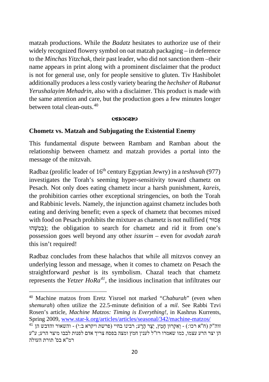matzah productions. While the *Badatz* hesitates to authorize use of their widely recognized flowery symbol on oat matzah packaging – in deference to the *Minchas Yitzchak*, their past leader, who did not sanction them –their name appears in print along with a prominent disclaimer that the product is not for general use, only for people sensitive to gluten. Tiv Hashibolet additionally produces a less costly variety bearing the *hechsher* of *Rabanut Yerushalayim Mehadrin*, also with a disclaimer. This product is made with the same attention and care, but the production goes a few minutes longer between total clean-outs.<sup>[40](#page-20-0)</sup>

#### 03800820

#### **Chometz vs. Matzah and Subjugating the Existential Enemy**

This fundamental dispute between Rambam and Ramban about the relationship between chametz and matzah provides a portal into the message of the mitzvah.

Radbaz (prolific leader of 16th century Egyptian Jewry) in a *teshuvah* (977) investigates the Torah's seeming hyper-sensitivity toward chametz on Pesach. Not only does eating chametz incur a harsh punishment, *kareis*, the prohibition carries other exceptional stringencies, on both the Torah and Rabbinic levels. Namely, the injunction against chametz includes both eating and deriving benefit; even a speck of chametz that becomes mixed with food on Pesach prohibits the mixture as chametz is not nullified ( אָסוּר הוּ ֶשּׁ ַמ ְבּ ;(the obligation to search for chametz and rid it from one's possession goes well beyond any other *issurim* – even for *avodah zarah* this isn't required!

Radbaz concludes from these halachos that while all mitzvos convey an underlying lesson and message, when it comes to chametz on Pesach the straightforward *peshat* is its symbolism. Chazal teach that chametz represents the *Yetzer HoRa<sup>41</sup>*, the insidious inclination that infiltrates our

<span id="page-20-0"></span><sup>40</sup> Machine matzos from Eretz Yisroel not marked "*Chaburah*" (even when *shemurah*) often utilize the 22.5-minute definition of a *mil*. See Rabbi Tzvi Rosen's article, *Machine Matzos: Timing is Everything!*, in Kashrus Kurrents, Spring 2009[,](http://www.star-k.org/articles/articles/seasonal/342/machine-matzos/) www.star-k.org/articles/articles/seasonal/342/machine-matzos/<br><sup>41</sup> היין השאור והדבש הן <sup>41</sup> /machine-matzos-

הן יצר הרע עצמו, כמו שאמרו רז"ל לענין חמץ ומצה בפסח צריך אדם לפנות לבבו מיצר הרע; ע"ע רמ"א בס' תורת העולה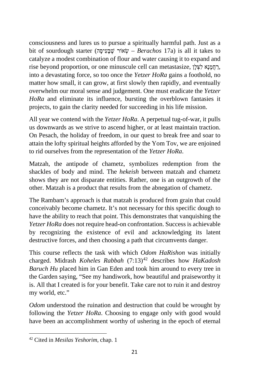consciousness and lures us to pursue a spiritually harmful path. Just as a bit of sourdough starter (שְׁבָּעִיסָה – Berachos 17a) is all it takes to catalyze a modest combination of flour and water causing it to expand and rise beyond proportion, or one minuscule cell can metastasize, רְחֲמַנַא לְצָלַן, into a devastating force, so too once the *Yetzer HoRa* gains a foothold, no matter how small, it can grow, at first slowly then rapidly, and eventually overwhelm our moral sense and judgement. One must eradicate the *Yetzer HoRa* and eliminate its influence, bursting the overblown fantasies it projects, to gain the clarity needed for succeeding in his life mission.

All year we contend with the *Yetzer HoRa*. A perpetual tug-of-war, it pulls us downwards as we strive to ascend higher, or at least maintain traction. On Pesach, the holiday of freedom, in our quest to break free and soar to attain the lofty spiritual heights afforded by the Yom Tov, we are enjoined to rid ourselves from the representation of the *Yetzer HoRa*.

Matzah, the antipode of chametz, symbolizes redemption from the shackles of body and mind. The *hekeish* between matzah and chametz shows they are not disparate entities. Rather, one is an outgrowth of the other. Matzah is a product that results from the abnegation of chametz.

The Rambam's approach is that matzah is produced from grain that could conceivably become chametz. It's not necessary for this specific dough to have the ability to reach that point. This demonstrates that vanquishing the *Yetzer HoRa* does not require head-on confrontation. Success is achievable by recognizing the existence of evil and acknowledging its latent destructive forces, and then choosing a path that circumvents danger.

This course reflects the task with which *Odom HaRishon* was initially charged. Midrash *Koheles Rabbah* (7:13)[42](#page-21-0) describes how *HaKadosh Baruch Hu* placed him in Gan Eden and took him around to every tree in the Garden saying, "See my handiwork, how beautiful and praiseworthy it is. All that I created is for your benefit. Take care not to ruin it and destroy my world, etc."

*Odom* understood the ruination and destruction that could be wrought by following the *Yetzer HoRa*. Choosing to engage only with good would have been an accomplishment worthy of ushering in the epoch of eternal

<span id="page-21-0"></span><sup>42</sup> Cited in *Mesilas Yeshorim*, chap. 1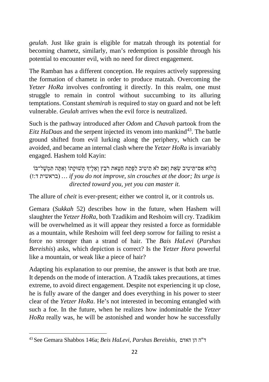*geulah*. Just like grain is eligible for matzah through its potential for becoming chametz, similarly, man's redemption is possible through his potential to encounter evil, with no need for direct engagement.

The Ramban has a different conception. He requires actively suppressing the formation of chametz in order to produce matzah. Overcoming the *Yetzer HoRa* involves confronting it directly. In this realm, one must struggle to remain in control without succumbing to its alluring temptations. Constant *shemirah* is required to stay on guard and not be left vulnerable. *Geulah* arrives when the evil force is neutralized.

Such is the pathway introduced after *Odom* and *Chavah* partook from the *Eitz HaDaas* and the serpent injected its venom into mankind<sup>[43](#page-22-0)</sup>. The battle ground shifted from evil lurking along the periphery, which can be avoided, and became an internal clash where the *Yetzer HoRa* is invariably engaged. Hashem told Kayin:

הַלוֹא אִם־תֵּיטִיב שָׂאֵת וְאִם לֹא תֵיטִיב לַפֶּתַח חַטָּאת רֹבֵץ וְאֵלֶיךָ תְּשׁוּקֶתוֹ וְאַתָּה תִּמְשָׁל־בּוֹ (ז:ד בראשית *...* (*if you do not improve, sin crouches at the door; Its urge is directed toward you, yet you can master it.*

The allure of *cheit* is ever-present; either we control it, or it controls us.

Gemara (*Sukkah* 52) describes how in the future, when Hashem will slaughter the *Yetzer HoRa*, both Tzadikim and Reshoim will cry. Tzadikim will be overwhelmed as it will appear they resisted a force as formidable as a mountain, while Reshoim will feel deep sorrow for failing to resist a force no stronger than a strand of hair. The *Bais HaLevi* (*Parshas Bereishis*) asks, which depiction is correct? Is the *Yetzer Hora* powerful like a mountain, or weak like a piece of hair?

Adapting his explanation to our premise, the answer is that both are true. It depends on the mode of interaction. A Tzadik takes precautions, at times extreme, to avoid direct engagement. Despite not experiencing it up close, he is fully aware of the danger and does everything in his power to steer clear of the *Yetzer HoRa*. He's not interested in becoming entangled with such a foe. In the future, when he realizes how indominable the *Yetzer HoRa* really was, he will be astonished and wonder how he successfully

<span id="page-22-0"></span><sup>43</sup> See Gemara Shabbos 146a; *Beis HaLevi*, *Parshas Bereishis*, האדם הן ה"ד